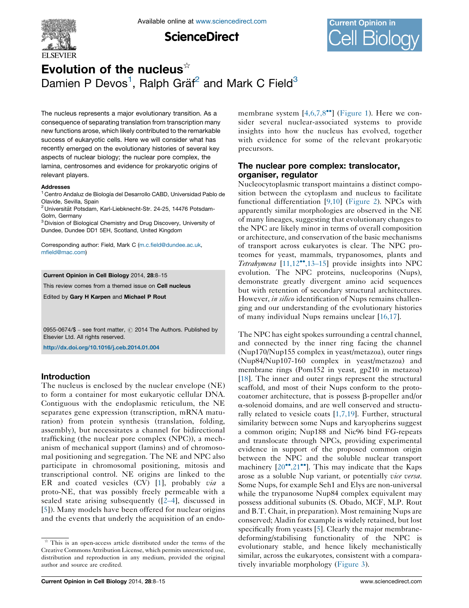

**ScienceDirect** 



# Evolution of the nucleus $\dot{a}$ Damien P Devos<sup>1</sup>, Ralph Gräf<sup>2</sup> and Mark C Field<sup>3</sup>

The nucleus represents a major evolutionary transition. As a consequence of separating translation from transcription many new functions arose, which likely contributed to the remarkable success of eukaryotic cells. Here we will consider what has recently emerged on the evolutionary histories of several key aspects of nuclear biology; the nuclear pore complex, the lamina, centrosomes and evidence for prokaryotic origins of relevant players.

#### Addresses

<sup>1</sup> Centro Andaluz de Biología del Desarrollo CABD, Universidad Pablo de Olavide, Sevilla, Spain

<sup>2</sup> Universität Potsdam, Karl-Liebknecht-Str. 24-25, 14476 Potsdam-Golm, Germany

<sup>3</sup> Division of Biological Chemistry and Drug Discovery, University of Dundee, Dundee DD1 5EH, Scotland, United Kingdom

Corresponding author: Field, Mark C [\(m.c.field@dundee.ac.uk](m.c.field@dundee.ac.uk), [mfield@mac.com\)](mfield@mac.com)

### Current Opinion in Cell Biology 2014, 28:8–15

This review comes from a themed issue on **Cell nucleus** 

Edited by Gary H Karpen and Michael P Rout

0955-0674/\$ – see front matter,  $\odot$  2014 The Authors. Published by Elsevier Ltd. All rights reserved.

<http://dx.doi.org/10.1016/j.ceb.2014.01.004>

## Introduction

The nucleus is enclosed by the nuclear envelope (NE) to form a container for most eukaryotic cellular DNA. Contiguous with the endoplasmic reticulum, the NE separates gene expression (transcription, mRNA maturation) from protein synthesis (translation, folding, assembly), but necessitates a channel for bidirectional trafficking (the nuclear pore complex (NPC)), a mechanism of mechanical support (lamins) and of chromosomal positioning and segregation. The NE and NPC also participate in chromosomal positioning, mitosis and transcriptional control. NE origins are linked to the ER and coated vesicles  $(CV)$  [[1](#page-5-0)], probably  $via$  a proto-NE, that was possibly freely permeable with a sealed state arising subsequently ([2–[4\]](#page-5-0), discussed in [\[5](#page-5-0)]). Many models have been offered for nuclear origins and the events that underly the acquisition of an endo-

membrane system  $[4,6,7,8^{\bullet\bullet}]$  $[4,6,7,8^{\bullet\bullet}]$  $[4,6,7,8^{\bullet\bullet}]$  ([Figure](#page-1-0) 1). Here we consider several nuclear-associated systems to provide insights into how the nucleus has evolved, together with evidence for some of the relevant prokaryotic precursors.

## The nuclear pore complex: translocator, organiser, regulator

Nucleocytoplasmic transport maintains a distinct composition between the cytoplasm and nucleus to facilitate functional differentiation [[9,10](#page-5-0)] [\(Figure](#page-2-0) 2). NPCs with apparently similar morphologies are observed in the NE of many lineages, suggesting that evolutionary changes to the NPC are likely minor in terms of overall composition or architecture, and conservation of the basic mechanisms of transport across eukaryotes is clear. The NPC proteomes for yeast, mammals, trypanosomes, plants and Tetrahymena [[11,12](#page-5-0)<sup>\*</sup>[,13](#page-5-0)-15] provide insights into NPC evolution. The NPC proteins, nucleoporins (Nups), demonstrate greatly divergent amino acid sequences but with retention of secondary structural architectures. However, in silico identification of Nups remains challenging and our understanding of the evolutionary histories of many individual Nups remains unclear [\[16,17\]](#page-5-0).

The NPC has eight spokes surrounding a central channel, and connected by the inner ring facing the channel (Nup170/Nup155 complex in yeast/metazoa), outer rings (Nup84/Nup107-160 complex in yeast/metazoa) and membrane rings (Pom152 in yeast, gp210 in metazoa) [\[18](#page-5-0)]. The inner and outer rings represent the structural scaffold, and most of their Nups conform to the protocoatomer architecture, that is possess  $\beta$ -propeller and/or a-solenoid domains, and are well conserved and structurally related to vesicle coats [\[1,7,19](#page-5-0)]. Further, structural similarity between some Nups and karyopherins suggest a common origin; Nup188 and Nic96 bind FG-repeats and translocate through NPCs, providing experimental evidence in support of the proposed common origin between the NPC and the soluble nuclear transport machinery  $[20^{\bullet\bullet}, 21^{\bullet\bullet}]$  $[20^{\bullet\bullet}, 21^{\bullet\bullet}]$  $[20^{\bullet\bullet}, 21^{\bullet\bullet}]$ . This may indicate that the Kaps arose as a soluble Nup variant, or potentially *vice versa*. Some Nups, for example Seh1 and Elys are non-universal while the trypanosome Nup84 complex equivalent may possess additional subunits (S. Obado, MCF, M.P. Rout and B.T. Chait, in preparation). Most remaining Nups are conserved; Aladin for example is widely retained, but lost specifically from yeasts [[5\]](#page-5-0). Clearly the major membranedeforming/stabilising functionality of the NPC is evolutionary stable, and hence likely mechanistically similar, across the eukaryotes, consistent with a comparatively invariable morphology [\(Figure](#page-3-0) 3).

 $\overrightarrow{r}$  This is an open-access article distributed under the terms of the Creative Commons Attribution License, which permits unrestricted use, distribution and reproduction in any medium, provided the original author and source are credited.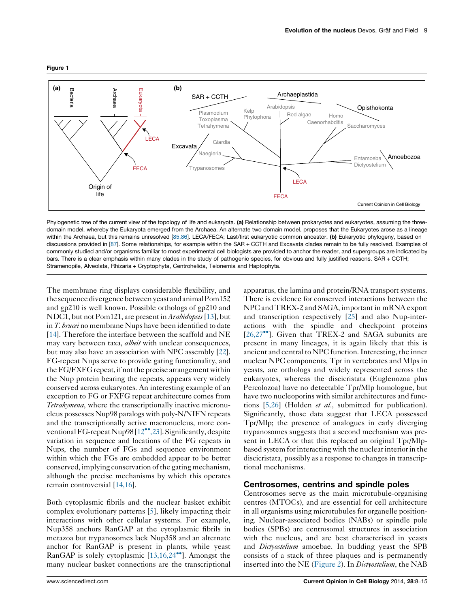<span id="page-1-0"></span>

Phylogenetic tree of the current view of the topology of life and eukaryota. (a) Relationship between prokaryotes and eukaryotes, assuming the threedomain model, whereby the Eukaryota emerged from the Archaea. An alternate two domain model, proposes that the Eukaryotes arose as a lineage within the Archaea, but this remains unresolved [\[85,86\]](#page-7-0). LECA/FECA; Last/first eukaryotic common ancestor. (b) Eukaryotic phylogeny, based on discussions provided in [[87\]](#page-7-0). Some relationships, for example within the SAR + CCTH and Excavata clades remain to be fully resolved. Examples of commonly studied and/or organisms familiar to most experimental cell biologists are provided to anchor the reader, and supergroups are indicated by bars. There is a clear emphasis within many clades in the study of pathogenic species, for obvious and fully justified reasons. SAR + CCTH; Stramenopile, Alveolata, Rhizaria + Cryptophyta, Centrohelida, Telonemia and Haptophyta.

The membrane ring displays considerable flexibility, and the sequence divergence between yeast and animal Pom152 and gp210 is well known. Possible orthologs of gp210 and NDC1, but not Pom121, are present in Arabidopsis [[13\]](#page-5-0), but in *T. brucei* no membrane Nups have been identified to date [\[14\]](#page-5-0). Therefore the interface between the scaffold and NE may vary between taxa, *albeit* with unclear consequences, but may also have an association with NPC assembly [[22](#page-5-0)]. FG-repeat Nups serve to provide gating functionality, and the FG/FXFG repeat, if not the precise arrangement within the Nup protein bearing the repeats, appears very widely conserved across eukaryotes. An interesting example of an exception to FG or FXFG repeat architecture comes from Tetrahymena, where the transcriptionally inactive micronucleus possesses Nup98 paralogs with poly-N/NIFN repeats and the transcriptionally active macronucleus, more con-ventional FG-repeat Nup98 [\[12](#page-5-0)<sup>\*\*</sup>[,23\]](#page-5-0). Significantly, despite variation in sequence and locations of the FG repeats in Nups, the number of FGs and sequence environment within which the FGs are embedded appear to be better conserved, implying conservation of the gating mechanism, although the precise mechanisms by which this operates remain controversial [[14,16\]](#page-5-0).

Both cytoplasmic fibrils and the nuclear basket exhibit complex evolutionary patterns [[5\]](#page-5-0), likely impacting their interactions with other cellular systems. For example, Nup358 anchors RanGAP at the cytoplasmic fibrils in metazoa but trypanosomes lack Nup358 and an alternate anchor for RanGAP is present in plants, while yeast RanGAP is solely cytoplasmic [[13,16,24](#page-5-0)<sup>\*</sup>]. Amongst the many nuclear basket connections are the transcriptional

apparatus, the lamina and protein/RNA transport systems. There is evidence for conserved interactions between the NPC and TREX-2 and SAGA, important in mRNA export and transcription respectively [\[25\]](#page-5-0) and also Nup-interactions with the spindle and checkpoint proteins [\[26,27](#page-5-0)<sup>\*</sup>]. Given that TREX-2 and SAGA subunits are present in many lineages, it is again likely that this is ancient and central to NPC function.Interesting, the inner nuclear NPC components, Tpr in vertebrates and Mlps in yeasts, are orthologs and widely represented across the eukaryotes, whereas the discicristata (Euglenozoa plus Percolozoa) have no detectable Tpr/Mlp homologue, but have two nucleoporins with similar architectures and functions  $[5,26]$  $[5,26]$  (Holden *et al.*, submitted for publication). Significantly, those data suggest that LECA possessed Tpr/Mlp; the presence of analogues in early diverging trypanosomes suggests that a second mechanism was present in LECA or that this replaced an original Tpr/Mlpbased system for interacting with the nuclear interior in the discicristata, possibly as a response to changes in transcriptional mechanisms.

## Centrosomes, centrins and spindle poles

Centrosomes serve as the main microtubule-organising centres (MTOCs), and are essential for cell architecture in all organisms using microtubules for organelle positioning. Nuclear-associated bodies (NABs) or spindle pole bodies (SPBs) are centrosomal structures in association with the nucleus, and are best characterised in yeasts and *Dictyostelium* amoebae. In budding yeast the SPB consists of a stack of three plaques and is permanently inserted into the NE [\(Figure](#page-2-0) 2). In *Dictyostelium*, the NAB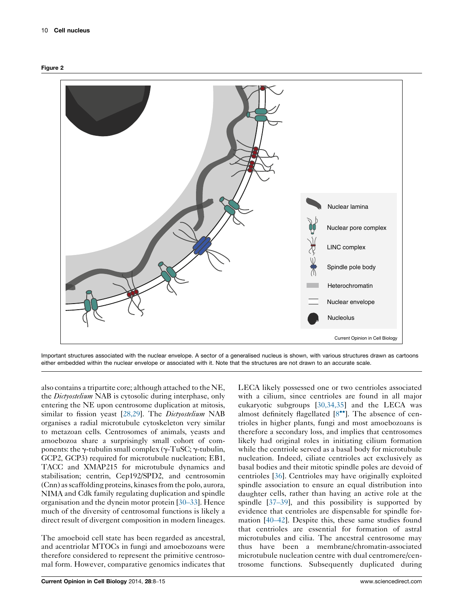<span id="page-2-0"></span>



Important structures associated with the nuclear envelope. A sector of a generalised nucleus is shown, with various structures drawn as cartoons either embedded within the nuclear envelope or associated with it. Note that the structures are not drawn to an accurate scale.

also contains a tripartite core; although attached to the NE, the *Dictyostelium* NAB is cytosolic during interphase, only entering the NE upon centrosome duplication at mitosis, similar to fission yeast [[28,29\]](#page-5-0). The *Dictyostelium* NAB organises a radial microtubule cytoskeleton very similar to metazoan cells. Centrosomes of animals, yeasts and amoebozoa share a surprisingly small cohort of components: the  $\gamma$ -tubulin small complex ( $\gamma$ -TuSC;  $\gamma$ -tubulin, GCP2, GCP3) required for microtubule nucleation; EB1, TACC and XMAP215 for microtubule dynamics and stabilisation; centrin, Cep192/SPD2, and centrosomin (Cnn) as scaffolding proteins, kinases from the polo, aurora, NIMA and Cdk family regulating duplication and spindle organisation and the dynein motor protein [\[30](#page-5-0)–33]. Hence much of the diversity of centrosomal functions is likely a direct result of divergent composition in modern lineages.

The amoeboid cell state has been regarded as ancestral, and acentriolar MTOCs in fungi and amoebozoans were therefore considered to represent the primitive centrosomal form. However, comparative genomics indicates that LECA likely possessed one or two centrioles associated with a cilium, since centrioles are found in all major eukaryotic subgroups [[30,34,35\]](#page-5-0) and the LECA was almost definitely flagellated [\[8](#page-5-0)\*\*]. The absence of centrioles in higher plants, fungi and most amoebozoans is therefore a secondary loss, and implies that centrosomes likely had original roles in initiating cilium formation while the centriole served as a basal body for microtubule nucleation. Indeed, ciliate centrioles act exclusively as basal bodies and their mitotic spindle poles are devoid of centrioles [[36\]](#page-6-0). Centrioles may have originally exploited spindle association to ensure an equal distribution into daughter cells, rather than having an active role at the spindle [\[37](#page-6-0)–39], and this possibility is supported by evidence that centrioles are dispensable for spindle formation [40–[42\]](#page-6-0). Despite this, these same studies found that centrioles are essential for formation of astral microtubules and cilia. The ancestral centrosome may thus have been a membrane/chromatin-associated microtubule nucleation centre with dual centromere/centrosome functions. Subsequently duplicated during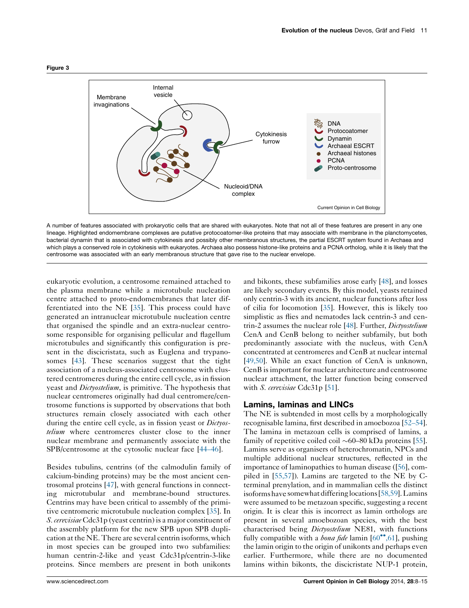<span id="page-3-0"></span>

A number of features associated with prokaryotic cells that are shared with eukaryotes. Note that not all of these features are present in any one lineage. Highlighted endomembrane complexes are putative protocoatomer-like proteins that may associate with membrane in the planctomycetes, bacterial dynamin that is associated with cytokinesis and possibly other membranous structures, the partial ESCRT system found in Archaea and which plays a conserved role in cytokinesis with eukaryotes. Archaea also possess histone-like proteins and a PCNA ortholog, while it is likely that the centrosome was associated with an early membranous structure that gave rise to the nuclear envelope.

eukaryotic evolution, a centrosome remained attached to the plasma membrane while a microtubule nucleation centre attached to proto-endomembranes that later differentiated into the NE [[35\]](#page-6-0). This process could have generated an intranuclear microtubule nucleation centre that organised the spindle and an extra-nuclear centrosome responsible for organising pellicular and flagellum microtubules and significantly this configuration is present in the discicristata, such as Euglena and trypanosomes [\[43](#page-6-0)]. These scenarios suggest that the tight association of a nucleus-associated centrosome with clustered centromeres during the entire cell cycle, as in fission yeast and *Dictyostelium*, is primitive. The hypothesis that nuclear centromeres originally had dual centromere/centrosome functions is supported by observations that both structures remain closely associated with each other during the entire cell cycle, as in fission yeast or *Dictyos*telium where centromeres cluster close to the inner nuclear membrane and permanently associate with the SPB/centrosome at the cytosolic nuclear face [44–[46\]](#page-6-0).

Besides tubulins, centrins (of the calmodulin family of calcium-binding proteins) may be the most ancient centrosomal proteins [\[47](#page-6-0)], with general functions in connecting microtubular and membrane-bound structures. Centrins may have been critical to assembly of the primitive centromeric microtubule nucleation complex [[35\]](#page-6-0). In S. cerevisiae Cdc31p (yeast centrin) is a major constituent of the assembly platform for the new SPB upon SPB duplication at the NE. There are several centrin isoforms, which in most species can be grouped into two subfamilies: human centrin-2-like and yeast Cdc31p/centrin-3-like proteins. Since members are present in both unikonts

and bikonts, these subfamilies arose early [\[48\]](#page-6-0), and losses are likely secondary events. By this model, yeasts retained only centrin-3 with its ancient, nuclear functions after loss of cilia for locomotion [\[35\]](#page-6-0). However, this is likely too simplistic as flies and nematodes lack centrin-3 and cen-trin-2 assumes the nuclear role [\[48\]](#page-6-0). Further, *Dictyostelium* CenA and CenB belong to neither subfamily, but both predominantly associate with the nucleus, with CenA concentrated at centromeres and CenB at nuclear internal [\[49,50\]](#page-6-0). While an exact function of CenA is unknown, CenB isimportant for nuclear architecture and centrosome nuclear attachment, the latter function being conserved with S. cerevisiae Cdc31p [[51](#page-6-0)].

# Lamins, laminas and LINCs

The NE is subtended in most cells by a morphologically recognisable lamina, first described in amoebozoa [52–[54\]](#page-6-0). The lamina in metazoan cells is comprised of lamins, a family of repetitive coiled coil  $\sim 60-80$  kDa proteins [[55\]](#page-6-0). Lamins serve as organisers of heterochromatin, NPCs and multiple additional nuclear structures, reflected in the importance of laminopathies to human disease ([[56\]](#page-6-0), compiled in [[55,57](#page-6-0)]). Lamins are targeted to the NE by Cterminal prenylation, and in mammalian cells the distinct isoforms have somewhat differinglocations [\[58,59\]](#page-6-0). Lamins were assumed to be metazoan specific, suggesting a recent origin. It is clear this is incorrect as lamin orthologs are present in several amoebozoan species, with the best characterised being *Dictyostelium* NE81, with functions fully compatible with a *bona fide* lamin  $[60^{\bullet\bullet}, 61]$  $[60^{\bullet\bullet}, 61]$  $[60^{\bullet\bullet}, 61]$ , pushing the lamin origin to the origin of unikonts and perhaps even earlier. Furthermore, while there are no documented lamins within bikonts, the discicristate NUP-1 protein,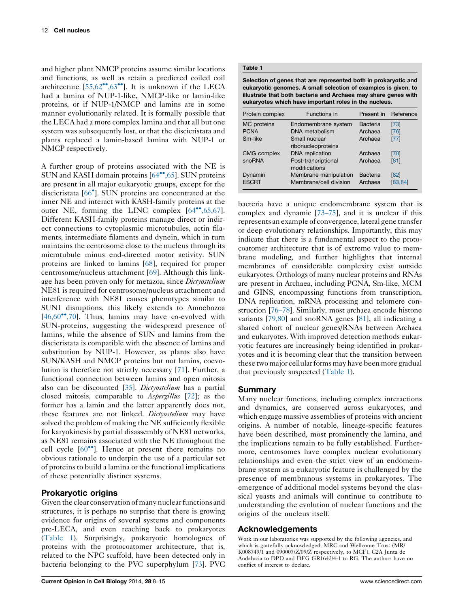and higher plant NMCP proteins assume similar locations and functions, as well as retain a predicted coiled coil architecture  $[55,62^{\bullet\bullet},63^{\bullet\bullet}]$  $[55,62^{\bullet\bullet},63^{\bullet\bullet}]$  $[55,62^{\bullet\bullet},63^{\bullet\bullet}]$  $[55,62^{\bullet\bullet},63^{\bullet\bullet}]$ . It is unknown if the LECA had a lamina of NUP-1-like, NMCP-like or lamin-like proteins, or if NUP-1/NMCP and lamins are in some manner evolutionarily related. It is formally possible that the LECA had a more complex lamina and that all but one system was subsequently lost, or that the discicristata and plants replaced a lamin-based lamina with NUP-1 or NMCP respectively.

A further group of proteins associated with the NE is SUN and KASH domain proteins [\[64](#page-6-0)\*°[,65](#page-6-0)]. SUN proteins are present in all major eukaryotic groups, except for the discicristata [[66](#page-6-0)- ]. SUN proteins are concentrated at the inner NE and interact with KASH-family proteins at the outer NE, forming the LINC complex  $[64^{\bullet\bullet}, 65, 67]$  $[64^{\bullet\bullet}, 65, 67]$  $[64^{\bullet\bullet}, 65, 67]$ . Different KASH-family proteins manage direct or indirect connections to cytoplasmic microtubules, actin filaments, intermediate filaments and dynein, which in turn maintains the centrosome close to the nucleus through its microtubule minus end-directed motor activity. SUN proteins are linked to lamins [[68\]](#page-6-0), required for proper centrosome/nucleus attachment [[69\]](#page-6-0). Although this linkage has been proven only for metazoa, since *Dictyostelium* NE81 is required for centrosome/nucleus attachment and interference with NE81 causes phenotypes similar to SUN1 disruptions, this likely extends to Amoebozoa [\[46,60](#page-6-0)<sup>••</sup>[,70\]](#page-6-0). Thus, lamins may have co-evolved with SUN-proteins, suggesting the widespread presence of lamins, while the absence of SUN and lamins from the discicristata is compatible with the absence of lamins and substitution by NUP-1. However, as plants also have SUN/KASH and NMCP proteins but not lamins, coevolution is therefore not strictly necessary [[71\]](#page-7-0). Further, a functional connection between lamins and open mitosis also can be discounted [\[35](#page-6-0)]. Dictyostelium has a partial closed mitosis, comparable to Aspergillus [[72\]](#page-7-0); as the former has a lamin and the latter apparently does not, these features are not linked. Dictyostelium may have solved the problem of making the NE sufficiently flexible for karyokinesis by partial disassembly of NE81 networks, as NE81 remains associated with the NE throughout the cell cycle [[60](#page-6-0)<sup>••</sup>]. Hence at present there remains no obvious rationale to underpin the use of a particular set of proteins to build a lamina or the functional implications of these potentially distinct systems.

# Prokaryotic origins

Given the clear conservation of many nuclear functions and structures, it is perhaps no surprise that there is growing evidence for origins of several systems and components pre-LECA, and even reaching back to prokaryotes (Table 1). Surprisingly, prokaryotic homologues of proteins with the protocoatomer architecture, that is, related to the NPC scaffold, have been detected only in bacteria belonging to the PVC superphylum [\[73](#page-7-0)]. PVC

Selection of genes that are represented both in prokaryotic and eukaryotic genomes. A small selection of examples is given, to illustrate that both bacteria and Archaea may share genes with eukaryotes which have important roles in the nucleus.

| Protein complex         | Functions in                                    | Present in          | Reference        |
|-------------------------|-------------------------------------------------|---------------------|------------------|
| MC proteins             | Endomembrane system                             | Bacteria            | $[73]$           |
| <b>PCNA</b>             | DNA metabolism                                  | Archaea             | [76]             |
| Sm-like                 | Small nuclear<br>ribonucleoproteins             | Archaea             | $[77]$           |
| <b>CMG</b> complex      | <b>DNA</b> replication                          | Archaea             | [78]             |
| snoRNA                  | Post-trancriptional<br>modifications            | Archaea             | [81]             |
| Dynamin<br><b>ESCRT</b> | Membrane manipulation<br>Membrane/cell division | Bacteria<br>Archaea | [82]<br>[83, 84] |

bacteria have a unique endomembrane system that is complex and dynamic [\[73](#page-7-0)–75], and it is unclear if this represents an example of convergence, lateral gene transfer or deep evolutionary relationships. Importantly, this may indicate that there is a fundamental aspect to the protocoatomer architecture that is of extreme value to membrane modeling, and further highlights that internal membranes of considerable complexity exist outside eukaryotes. Orthologs of many nuclear proteins and RNAs are present in Archaea, including PCNA, Sm-like, MCM and GINS, encompassing functions from transcription, DNA replication, mRNA processing and telomere construction [76–[78\]](#page-7-0). Similarly, most archaea encode histone variants [\[79,80](#page-7-0)] and snoRNA genes [[81\]](#page-7-0), all indicating a shared cohort of nuclear genes/RNAs between Archaea and eukaryotes. With improved detection methods eukaryotic features are increasingly being identified in prokaryotes and it is becoming clear that the transition between these two major cellular forms may have been more gradual that previously suspected (Table 1).

# Summary

Many nuclear functions, including complex interactions and dynamics, are conserved across eukaryotes, and which engage massive assemblies of proteins with ancient origins. A number of notable, lineage-specific features have been described, most prominently the lamina, and the implications remain to be fully established. Furthermore, centrosomes have complex nuclear evolutionary relationships and even the strict view of an endomembrane system as a eukaryotic feature is challenged by the presence of membranous systems in prokaryotes. The emergence of additional model systems beyond the classical yeasts and animals will continue to contribute to understanding the evolution of nuclear functions and the origins of the nucleus itself.

# Acknowledgements

Work in our laboratories was supported by the following agencies, and which is gratefully acknowledged; MRC and Wellcome Trust (MR/ K008749/1 and 090007/Z/09/Z respectively, to MCF), C2A Junta de Andalucia to DPD and DFG GR1642/4-1 to RG. The authors have no conflict of interest to declare.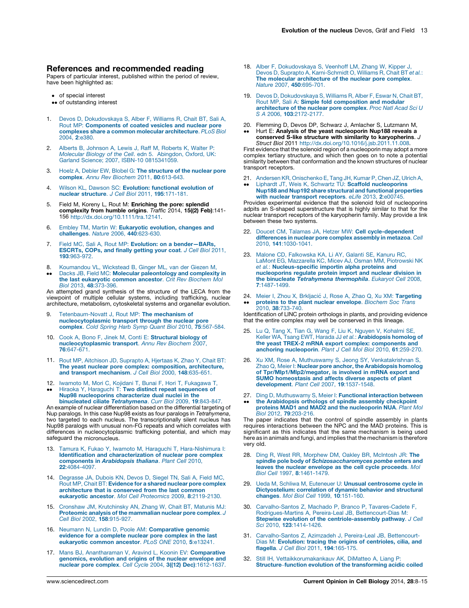## <span id="page-5-0"></span>References and recommended reading

Papers of particular interest, published within the period of review, have been highlighted as:

- of special interest
- •• of outstanding interest
- 1. Devos D, [Dokudovskaya](http://refhub.elsevier.com/S0955-0674(14)00005-2/sbref0005) S, Alber F, Williams R, Chait BT, Sali A, Rout MP: [Components](http://refhub.elsevier.com/S0955-0674(14)00005-2/sbref0005) of coated vesicles and nuclear pore complexes share a common molecular [architecture](http://refhub.elsevier.com/S0955-0674(14)00005-2/sbref0005). PLoS Biol 2004, 2[:e380.](http://refhub.elsevier.com/S0955-0674(14)00005-2/sbref0005)
- 2. Alberts B, [Johnson](http://refhub.elsevier.com/S0955-0674(14)00005-2/sbref0010) A, Lewis J, Raff M, Roberts K, Walter P: Molecular Biology of the Cell. edn 5. [Abingdon,](http://refhub.elsevier.com/S0955-0674(14)00005-2/sbref0010) Oxford, UK: Garland Science; 2007, ISBN-10 [0815341059.](http://refhub.elsevier.com/S0955-0674(14)00005-2/sbref0010)
- 3. Hoelz A, Debler EW, Blobel G: The [structure](http://refhub.elsevier.com/S0955-0674(14)00005-2/sbref0015) of the nuclear pore complex. Annu Rev Biochem 2011, 80[:613-643.](http://refhub.elsevier.com/S0955-0674(14)00005-2/sbref0015)
- 4. Wilson KL, Dawson SC: Evolution: [functional](http://refhub.elsevier.com/S0955-0674(14)00005-2/sbref0020) evolution of nuclear [structure](http://refhub.elsevier.com/S0955-0674(14)00005-2/sbref0020). J Cell Biol 2011, 195:171-181.
- 5. Field M, Koreny L, Rout M: Enriching the pore: splendid **complexity from humble origins**. *Traffic* 2014, **15((2) Feb)**:141-<br>156 <http://dx.doi.org/10.1111/tra.12141>.
- 6. Embley TM, Martin W: [Eukaryotic](http://refhub.elsevier.com/S0955-0674(14)00005-2/sbref0030) evolution, changes and [challenges](http://refhub.elsevier.com/S0955-0674(14)00005-2/sbref0030). Nature 2006, 440:623-630.
- 7. Field MC, Sali A, Rout MP: Evolution: on a bender-BARs, [ESCRTs,](http://refhub.elsevier.com/S0955-0674(14)00005-2/sbref0035) COPs, and finally getting your coat. J Cell Biol 2011, 193[:963-972.](http://refhub.elsevier.com/S0955-0674(14)00005-2/sbref0035)
- 8. [Koumandou](http://refhub.elsevier.com/S0955-0674(14)00005-2/sbref0040) VL, Wickstead B, Ginger ML, van der Giezen M,
- $\bullet$ Dacks JB, Field MC: Molecular [paleontology](http://refhub.elsevier.com/S0955-0674(14)00005-2/sbref0040) and complexity in the last [eukaryotic](http://refhub.elsevier.com/S0955-0674(14)00005-2/sbref0040) common ancestor. Crit Rev Biochem Mol Biol 2013, 48[:373-396.](http://refhub.elsevier.com/S0955-0674(14)00005-2/sbref0040)

An attempted grand synthesis of the structure of the LECA from the viewpoint of multiple cellular systems, including trafficking, nuclear architecture, metabolism, cytoskeletal systems and organellar evolution.

- 9. [Tetenbaum-Novatt](http://refhub.elsevier.com/S0955-0674(14)00005-2/sbref0045) J, Rout MP: The mechanism of [nucleocytoplasmic](http://refhub.elsevier.com/S0955-0674(14)00005-2/sbref0045) transport through the nuclear pore complex. Cold Spring Harb Symp Quant Biol 2010, 75[:567-584.](http://refhub.elsevier.com/S0955-0674(14)00005-2/sbref0045)
- 10. Cook A, Bono F, Jinek M, Conti E: [Structural](http://refhub.elsevier.com/S0955-0674(14)00005-2/sbref0050) biology of [nucleocytoplasmic](http://refhub.elsevier.com/S0955-0674(14)00005-2/sbref0050) transport. Annu Rev Biochem 2007, 76[:647-671.](http://refhub.elsevier.com/S0955-0674(14)00005-2/sbref0050)
- 11. Rout MP, Aitchison JD, [Suprapto](http://refhub.elsevier.com/S0955-0674(14)00005-2/sbref0055) A, Hjertaas K, Zhao Y, Chait BT: The yeast nuclear pore complex: [composition,](http://refhub.elsevier.com/S0955-0674(14)00005-2/sbref0055) architecture, and transport [mechanism](http://refhub.elsevier.com/S0955-0674(14)00005-2/sbref0055). J Cell Biol 2000, 148:635-651.
- 12. Iwamoto M, Mori C, Kojidani T, Bunai F, Hori T, [Fukagawa](http://refhub.elsevier.com/S0955-0674(14)00005-2/sbref0060) T,
- $\bullet$ Hiraoka Y, Haraguchi T: Two distinct repeat [sequences](http://refhub.elsevier.com/S0955-0674(14)00005-2/sbref0060) of Nup98 [nucleoporins](http://refhub.elsevier.com/S0955-0674(14)00005-2/sbref0060) characterize dual nuclei in the binucleated ciliate [Tetrahymena](http://refhub.elsevier.com/S0955-0674(14)00005-2/sbref0060). Curr Biol 2009, 19:843-847. An example of nuclear differentiation based on the differential targeting of Nup paralogs. In this case Nup98 exists as four paralogs in Tetrahymena, two targeted to each nucleus. The transcriptionally silent nucleus has Nup98 paralogs with unusual non-FG repeats and which correlates with

differences in nucleocytoplasmic trafficking potential, and which may safeguard the micronucleus.

- 13. Tamura K, Fukao Y, Iwamoto M, Haraguchi T, [Hara-Nishimura](http://refhub.elsevier.com/S0955-0674(14)00005-2/sbref0065) I: Identification and [characterization](http://refhub.elsevier.com/S0955-0674(14)00005-2/sbref0065) of nuclear pore complex [components](http://refhub.elsevier.com/S0955-0674(14)00005-2/sbref0065) in Arabidopsis thaliana. Plant Cell 2010, 22[:4084-4097.](http://refhub.elsevier.com/S0955-0674(14)00005-2/sbref0065)
- 14. [Degrasse](http://refhub.elsevier.com/S0955-0674(14)00005-2/sbref0070) JA, Dubois KN, Devos D, Siegel TN, Sali A, Field MC, Rout MP, Chait BT: [Evidence](http://refhub.elsevier.com/S0955-0674(14)00005-2/sbref0070) for a shared nuclear pore complex [architecture](http://refhub.elsevier.com/S0955-0674(14)00005-2/sbref0070) that is conserved from the last common eukaryotic ancestor. Mol Cell Proteomics 2009, 8[:2119-2130.](http://refhub.elsevier.com/S0955-0674(14)00005-2/sbref0070)
- 15. Cronshaw JM, [Krutchinsky](http://refhub.elsevier.com/S0955-0674(14)00005-2/sbref0075) AN, Zhang W, Chait BT, Matunis MJ: Proteomic analysis of the [mammalian](http://refhub.elsevier.com/S0955-0674(14)00005-2/sbref0075) nuclear pore complex. J Cell Biol 2002, 158[:915-927.](http://refhub.elsevier.com/S0955-0674(14)00005-2/sbref0075)
- 16. Neumann N, Lundin D, Poole AM: [Comparative](http://refhub.elsevier.com/S0955-0674(14)00005-2/sbref0080) genomic evidence for a [complete](http://refhub.elsevier.com/S0955-0674(14)00005-2/sbref0080) nuclear pore complex in the last [eukaryotic](http://refhub.elsevier.com/S0955-0674(14)00005-2/sbref0080) common ancestor. PLoS ONE 2010, 5:e13241.
- 17. Mans BJ, [Anantharaman](http://refhub.elsevier.com/S0955-0674(14)00005-2/sbref0085) V, Aravind L, Koonin EV: Comparative [genomics,](http://refhub.elsevier.com/S0955-0674(14)00005-2/sbref0085) evolution and origins of the nuclear envelope and nuclear pore complex. Cell Cycle 2004, 3((12) Dec)[:1612-1637.](http://refhub.elsevier.com/S0955-0674(14)00005-2/sbref0085)
- 18. Alber F, [Dokudovskaya](http://refhub.elsevier.com/S0955-0674(14)00005-2/sbref0090) S, Veenhoff LM, Zhang W, Kipper J, Devos D, Suprapto A, [Karni-Schmidt](http://refhub.elsevier.com/S0955-0674(14)00005-2/sbref0090) O, Williams R, Chait BT et al.: The molecular [architecture](http://refhub.elsevier.com/S0955-0674(14)00005-2/sbref0090) of the nuclear pore complex. Nature 2007, 450[:695-701.](http://refhub.elsevier.com/S0955-0674(14)00005-2/sbref0090)
- 19. Devos D, [Dokudovskaya](http://refhub.elsevier.com/S0955-0674(14)00005-2/sbref0095) S, Williams R, Alber F, Eswar N, Chait BT, Rout MP, Sali A: Simple fold [composition](http://refhub.elsevier.com/S0955-0674(14)00005-2/sbref0095) and modular [architecture](http://refhub.elsevier.com/S0955-0674(14)00005-2/sbref0095) of the nuclear pore complex. Proc Natl Acad Sci U S A 2006, 103[:2172-2177.](http://refhub.elsevier.com/S0955-0674(14)00005-2/sbref0095)
- 20. Flemming D, Devos DP, Schwarz J, Amlacher S, Lutzmann M,
- --Hurt E: Analysis of the yeast nucleoporin Nup188 reveals a conserved S-like structure with similarity to karyopherins. J Struct Biol 2011 [http://dx.doi.org/10.1016/j.jsb.2011.11.008.](http://dx.doi.org/10.1016/j.jsb.2011.11.008)

First evidence that the solenoid region of a nucleoporin may adopt a more complex tertiary structure, and which then goes on to note a potential similarity between that conformation and the known structures of nuclear transport receptors.

21. Andersen KR, [Onischenko](http://refhub.elsevier.com/S0955-0674(14)00005-2/sbref0105) E, Tang JH, Kumar P, Chen JZ, Ulrich A,

--Liphardt JT, Weis K, Schwartz TU: Scaffold [nucleoporins](http://refhub.elsevier.com/S0955-0674(14)00005-2/sbref0105) Nup188 and Nup192 share structural and functional [properties](http://refhub.elsevier.com/S0955-0674(14)00005-2/sbref0105) with nuclear transport [receptors](http://refhub.elsevier.com/S0955-0674(14)00005-2/sbref0105). eLife 2013, 2:e00745.

Provides experimental evidence that the solenoid fold of nucleoporins adpits an S-shaped superstructure that is highly similar to that for the nuclear transport receptors of the karyopherin family. May provide a link between these two systems.

- 22. Doucet CM, Talamas JA, Hetzer MW: Cell [cycle-dependent](http://refhub.elsevier.com/S0955-0674(14)00005-2/sbref0110) [differences](http://refhub.elsevier.com/S0955-0674(14)00005-2/sbref0110) in nuclear pore complex assembly in metazoa. Cell 2010, 141[:1030-1041.](http://refhub.elsevier.com/S0955-0674(14)00005-2/sbref0110)
- 23. Malone CD, [Falkowska](http://refhub.elsevier.com/S0955-0674(14)00005-2/sbref0115) KA, Li AY, Galanti SE, Kanuru RC, LaMont EG, [Mazzarella](http://refhub.elsevier.com/S0955-0674(14)00005-2/sbref0115) KC, Micev AJ, Osman MM, Piotrowski NK et al.: [Nucleus-specific](http://refhub.elsevier.com/S0955-0674(14)00005-2/sbref0115) importin alpha proteins and [nucleoporins](http://refhub.elsevier.com/S0955-0674(14)00005-2/sbref0115) regulate protein import and nuclear division in the binucleate [Tetrahymena](http://refhub.elsevier.com/S0955-0674(14)00005-2/sbref0115) thermophila. Eukaryot Cell 2008, 7[:1487-1499.](http://refhub.elsevier.com/S0955-0674(14)00005-2/sbref0115)
- 24. Meier I, Zhou X, Brkljacić J, Rose A, Zhao Q, Xu XM: [Targeting](http://refhub.elsevier.com/S0955-0674(14)00005-2/sbref0120) -proteins to the plant nuclear [envelope](http://refhub.elsevier.com/S0955-0674(14)00005-2/sbref0120). Biochem Soc Trans 2010, 38[:733-740.](http://refhub.elsevier.com/S0955-0674(14)00005-2/sbref0120)

Identification of LINC protein orthologs in plants, and providing evidence that the entire complex may well be conserved in this lineage.

- 25. Lu Q, Tang X, Tian G, Wang F, Liu K, Nguyen V, [Kohalmi](http://refhub.elsevier.com/S0955-0674(14)00005-2/sbref0125) SE, Keller WA, Tsang EWT, Harada JJ et al.: [Arabidopsis](http://refhub.elsevier.com/S0955-0674(14)00005-2/sbref0125) homolog of the yeast TREX-2 mRNA export complex: [components](http://refhub.elsevier.com/S0955-0674(14)00005-2/sbref0125) and<br>anchoring [nucleoporin](http://refhub.elsevier.com/S0955-0674(14)00005-2/sbref0125). Plant J Cell Mol Biol 2010, 61:259-270.
- 26. Xu XM, Rose A, Muthuswamy S, Jeong SY, [Venkatakrishnan](http://refhub.elsevier.com/S0955-0674(14)00005-2/sbref0130) S, Zhao Q, Meier I: Nuclear pore anchor, the [Arabidopsis](http://refhub.elsevier.com/S0955-0674(14)00005-2/sbref0130) homolog of [Tpr/Mlp1/Mlp2/megator,](http://refhub.elsevier.com/S0955-0674(14)00005-2/sbref0130) is involved in mRNA export and SUMO [homeostasis](http://refhub.elsevier.com/S0955-0674(14)00005-2/sbref0130) and affects diverse aspects of plant [development](http://refhub.elsevier.com/S0955-0674(14)00005-2/sbref0130). Plant Cell 2007, 19:1537-1548.
- 27. Ding D, [Muthuswamy](http://refhub.elsevier.com/S0955-0674(14)00005-2/sbref0135) S, Meier I: Functional interaction between
- -the [Arabidopsis](http://refhub.elsevier.com/S0955-0674(14)00005-2/sbref0135) orthologs of spindle assembly checkpoint proteins MAD1 and MAD2 and the [nucleoporin](http://refhub.elsevier.com/S0955-0674(14)00005-2/sbref0135) NUA. Plant Mol Biol 2012, 79[:203-216.](http://refhub.elsevier.com/S0955-0674(14)00005-2/sbref0135)

The paper indicates that the control of spindle assembly in plants requires interactions between the NPC and the MAD proteins. This is significant as this indicates that the same mechanism is being used here as in animals and fungi, and implies that the mechanism is therefore very old.

- 28. Ding R, West RR, [Morphew](http://refhub.elsevier.com/S0955-0674(14)00005-2/sbref0140) DM, Oakley BR, McIntosh JR: The spindle pole body of [Schizosaccharomyces](http://refhub.elsevier.com/S0955-0674(14)00005-2/sbref0140) pombe enters and leaves the nuclear envelope as the cell cycle [proceeds](http://refhub.elsevier.com/S0955-0674(14)00005-2/sbref0140). Mol Biol Cell 1997, 8[:1461-1479.](http://refhub.elsevier.com/S0955-0674(14)00005-2/sbref0140)
- 29. Ueda M, Schliwa M, Euteneuer U: Unusual [centrosome](http://refhub.elsevier.com/S0955-0674(14)00005-2/sbref0145) cycle in [Dictyostelium:](http://refhub.elsevier.com/S0955-0674(14)00005-2/sbref0145) correlation of dynamic behavior and structural changes. Mol Biol Cell 1999, 10[:151-160.](http://refhub.elsevier.com/S0955-0674(14)00005-2/sbref0145)
- 30. [Carvalho-Santos](http://refhub.elsevier.com/S0955-0674(14)00005-2/sbref0150) Z, Machado P, Branco P, Tavares-Cadete F, [Rodrigues-Martins](http://refhub.elsevier.com/S0955-0674(14)00005-2/sbref0150) A, Pereira-Leal JB, Bettencourt-Dias M: Stepwise evolution of the [centriole-assembly](http://refhub.elsevier.com/S0955-0674(14)00005-2/sbref0150) pathway. J Cell Sci 2010, 123[:1414-1426.](http://refhub.elsevier.com/S0955-0674(14)00005-2/sbref0150)
- 31. [Carvalho-Santos](http://refhub.elsevier.com/S0955-0674(14)00005-2/sbref0155) Z, Azimzadeh J, Pereira-Leal JB, Bettencourt-Dias M: Evolution: tracing the origins of [centrioles,](http://refhub.elsevier.com/S0955-0674(14)00005-2/sbref0155) cilia, and flagella. J Cell Biol 2011, 194[:165-175.](http://refhub.elsevier.com/S0955-0674(14)00005-2/sbref0155)
- Still IH, [Vettaikkorumakankauv](http://refhub.elsevier.com/S0955-0674(14)00005-2/sbref0160) AK, DiMatteo A, Liang P: Structure–function evolution of the [transforming](http://refhub.elsevier.com/S0955-0674(14)00005-2/sbref0160) acidic coiled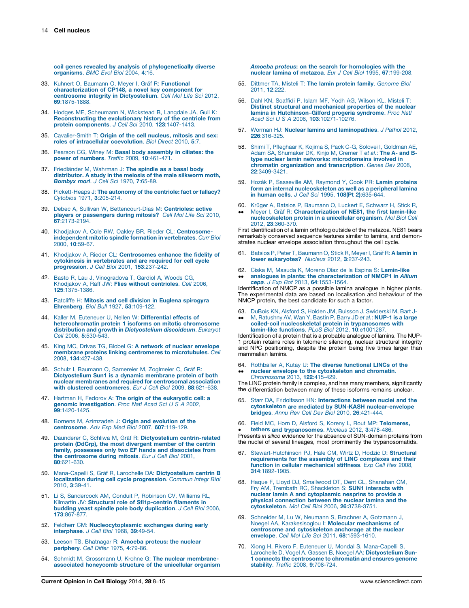<span id="page-6-0"></span>coil genes revealed by analysis of [phylogenetically](http://refhub.elsevier.com/S0955-0674(14)00005-2/sbref0160) diverse [organisms](http://refhub.elsevier.com/S0955-0674(14)00005-2/sbref0160). BMC Evol Biol 2004, 4:16.

- 33. Kuhnert O, Baumann O, Meyer I, Gräf R: [Functional](http://refhub.elsevier.com/S0955-0674(14)00005-2/sbref0165) [characterization](http://refhub.elsevier.com/S0955-0674(14)00005-2/sbref0165) of CP148, a novel key component for<br>centrosome integrity in [Dictyostelium](http://refhub.elsevier.com/S0955-0674(14)00005-2/sbref0165). Cell Mol Life Sci 2012, 69[:1875-1888.](http://refhub.elsevier.com/S0955-0674(14)00005-2/sbref0165)
- 34. Hodges ME, [Scheumann](http://refhub.elsevier.com/S0955-0674(14)00005-2/sbref0170) N, Wickstead B, Langdale JA, Gull K: [Reconstructing](http://refhub.elsevier.com/S0955-0674(14)00005-2/sbref0170) the evolutionary history of the centriole from protein [components](http://refhub.elsevier.com/S0955-0674(14)00005-2/sbref0170). J Cell Sci 2010, 123:1407-1413.
- 35. [Cavalier-Smith](http://refhub.elsevier.com/S0955-0674(14)00005-2/sbref0175) T: Origin of the cell nucleus, mitosis and sex: roles of [intracellular](http://refhub.elsevier.com/S0955-0674(14)00005-2/sbref0175) coevolution. Biol Direct 2010, 5:7.
- 36. Pearson CG, Winey M: Basal body [assembly](http://refhub.elsevier.com/S0955-0674(14)00005-2/sbref0180) in ciliates: the power of numbers. Traffic 2009, 10[:461-471.](http://refhub.elsevier.com/S0955-0674(14)00005-2/sbref0180)
- 37. Friedländer M, [Wahrman](http://refhub.elsevier.com/S0955-0674(14)00005-2/sbref0185) J: The spindle as a basal body [distributor.](http://refhub.elsevier.com/S0955-0674(14)00005-2/sbref0185) A study in the meiosis of the male silkworm moth,<br>*[Bombyx](http://refhub.elsevier.com/S0955-0674(14)00005-2/sbref0185) mori. J Cell Sci* 1970, 7:65-89.
- 38. [Pickett-Heaps](http://refhub.elsevier.com/S0955-0674(14)00005-2/sbref0190) J: The autonomy of the centriole: fact or fallacy? Cytobios 1971, 3[:205-214.](http://refhub.elsevier.com/S0955-0674(14)00005-2/sbref0190)
- 39. Debec A, Sullivan W, [Bettencourt-Dias](http://refhub.elsevier.com/S0955-0674(14)00005-2/sbref0195) M: Centrioles: active players or [passengers](http://refhub.elsevier.com/S0955-0674(14)00005-2/sbref0195) during mitosis? Cell Mol Life Sci 2010, 67[:2173-2194.](http://refhub.elsevier.com/S0955-0674(14)00005-2/sbref0195)
- 40. Khodjakov A, Cole RW, Oakley BR, Rieder CL: [Centrosome](http://refhub.elsevier.com/S0955-0674(14)00005-2/sbref0200)[independent](http://refhub.elsevier.com/S0955-0674(14)00005-2/sbref0200) mitotic spindle formation in vertebrates. Curr Biol 2000, 10[:59-67.](http://refhub.elsevier.com/S0955-0674(14)00005-2/sbref0200)
- 41. Khodjakov A, Rieder CL: [Centrosomes](http://refhub.elsevier.com/S0955-0674(14)00005-2/sbref0205) enhance the fidelity of cytokinesis in [vertebrates](http://refhub.elsevier.com/S0955-0674(14)00005-2/sbref0205) and are required for cell cycle [progression](http://refhub.elsevier.com/S0955-0674(14)00005-2/sbref0205). J Cell Biol 2001, 153:237-242.
- 42. Basto R, Lau J, [Vinogradova](http://refhub.elsevier.com/S0955-0674(14)00005-2/sbref0210) T, Gardiol A, Woods CG, [Khodjakov](http://refhub.elsevier.com/S0955-0674(14)00005-2/sbref0210) A, Raff JW: Flies without centrioles. Cell 2006, 125[:1375-1386.](http://refhub.elsevier.com/S0955-0674(14)00005-2/sbref0210)
- 43. Ratcliffe H: Mitosis and cell division in Euglena [spirogyra](http://refhub.elsevier.com/S0955-0674(14)00005-2/sbref0215) [Ehrenberg](http://refhub.elsevier.com/S0955-0674(14)00005-2/sbref0215). Biol Bull 1927, 53:109-122.
- 44. Kaller M, Euteneuer U, Nellen W: [Differential](http://refhub.elsevier.com/S0955-0674(14)00005-2/sbref0220) effects of [heterochromatin](http://refhub.elsevier.com/S0955-0674(14)00005-2/sbref0220) protein 1 isoforms on mitotic chromosome distribution and growth in [Dictyostelium](http://refhub.elsevier.com/S0955-0674(14)00005-2/sbref0220) discoideum. Eukaryot Cell 2006, 5[:530-543.](http://refhub.elsevier.com/S0955-0674(14)00005-2/sbref0220)
- 45. King MC, Drivas TG, Blobel G: A network of nuclear [envelope](http://refhub.elsevier.com/S0955-0674(14)00005-2/sbref0225) membrane proteins linking centromeres to [microtubules](http://refhub.elsevier.com/S0955-0674(14)00005-2/sbref0225). Cell 2008, 134[:427-438.](http://refhub.elsevier.com/S0955-0674(14)00005-2/sbref0225)
- 46. Schulz I, Baumann O, [Samereier](http://refhub.elsevier.com/S0955-0674(14)00005-2/sbref0230) M, Zoglmeier C, Gräf R:<br>[Dictyostelium](http://refhub.elsevier.com/S0955-0674(14)00005-2/sbref0230) Sun1 is a dynamic membrane protein of both nuclear membranes and required for [centrosomal](http://refhub.elsevier.com/S0955-0674(14)00005-2/sbref0230) association with clustered [centromeres](http://refhub.elsevier.com/S0955-0674(14)00005-2/sbref0230). Eur J Cell Biol 2009, 88:621-638.
- 47. Hartman H, Fedorov A: The origin of the [eukaryotic](http://refhub.elsevier.com/S0955-0674(14)00005-2/sbref0235) cell: a genomic [investigation](http://refhub.elsevier.com/S0955-0674(14)00005-2/sbref0235). Proc Natl Acad Sci U S A 2002, 99[:1420-1425.](http://refhub.elsevier.com/S0955-0674(14)00005-2/sbref0235)
- 48. Bornens M, [Azimzadeh](http://refhub.elsevier.com/S0955-0674(14)00005-2/sbref0240) J: Origin and evolution of the [centrosome](http://refhub.elsevier.com/S0955-0674(14)00005-2/sbref0240). Adv Exp Med Biol 2007, 607:119-129.
- 49. Daunderer C, Schliwa M, Gräf R: Dictyostelium [centrin-related](http://refhub.elsevier.com/S0955-0674(14)00005-2/sbref0245) protein (DdCrp), the most [divergent](http://refhub.elsevier.com/S0955-0674(14)00005-2/sbref0245) member of the centrin family, possesses only two EF hands and [dissociates](http://refhub.elsevier.com/S0955-0674(14)00005-2/sbref0245) from the [centrosome](http://refhub.elsevier.com/S0955-0674(14)00005-2/sbref0245) during mitosis. Eur J Cell Biol 2001, 80[:621-630.](http://refhub.elsevier.com/S0955-0674(14)00005-2/sbref0245)
- 50. Mana-Capelli S, Gräf R, Larochelle DA: [Dictyostelium](http://refhub.elsevier.com/S0955-0674(14)00005-2/sbref0250) centrin B localization during cell cycle [progression](http://refhub.elsevier.com/S0955-0674(14)00005-2/sbref0250). Commun Integr Biol 2010, 3[:39-41.](http://refhub.elsevier.com/S0955-0674(14)00005-2/sbref0250)
- 51. Li S, [Sandercock](http://refhub.elsevier.com/S0955-0674(14)00005-2/sbref0255) AM, Conduit P, Robinson CV, Williams RL, Kilmartin JV: Structural role of [Sfi1p-centrin](http://refhub.elsevier.com/S0955-0674(14)00005-2/sbref0255) filaments in budding yeast spindle pole body [duplication](http://refhub.elsevier.com/S0955-0674(14)00005-2/sbref0255). J Cell Biol 2006, 173[:867-877.](http://refhub.elsevier.com/S0955-0674(14)00005-2/sbref0255)
- 52. Feldherr CM: [Nucleocytoplasmic](http://refhub.elsevier.com/S0955-0674(14)00005-2/sbref0260) exchanges during early [interphase](http://refhub.elsevier.com/S0955-0674(14)00005-2/sbref0260). J Cell Biol 1968, 39:49-54.
- 53. Leeson TS, [Bhatnagar](http://refhub.elsevier.com/S0955-0674(14)00005-2/sbref0265) R: Amoeba proteus: the nuclear [periphery](http://refhub.elsevier.com/S0955-0674(14)00005-2/sbref0265). Cell Differ 1975, 4:79-86.
- 54. Schmidt M, Grossmann U, Krohne G: The nuclear [membrane](http://refhub.elsevier.com/S0955-0674(14)00005-2/sbref0270)associated [honeycomb](http://refhub.elsevier.com/S0955-0674(14)00005-2/sbref0270) structure of the unicellular organism

Amoeba proteus: on the search for [homologies](http://refhub.elsevier.com/S0955-0674(14)00005-2/sbref0270) with the nuclear lamina of metazoa. Eur J Cell Biol 1995, 67[:199-208.](http://refhub.elsevier.com/S0955-0674(14)00005-2/sbref0270)

- 55. Dittmer TA, Misteli T: The lamin protein family. [Genome](http://refhub.elsevier.com/S0955-0674(14)00005-2/sbref0275) Biol [2011,](http://refhub.elsevier.com/S0955-0674(14)00005-2/sbref0275) 12:222.
- 56. Dahl KN, [Scaffidi](http://refhub.elsevier.com/S0955-0674(14)00005-2/sbref0280) P, Islam MF, Yodh AG, Wilson KL, Misteli T: Distinct structural and [mechanical](http://refhub.elsevier.com/S0955-0674(14)00005-2/sbref0280) properties of the nuclear lamina in [Hutchinson](http://refhub.elsevier.com/S0955-0674(14)00005-2/sbref0280)–Gilford progeria syndrome. Proc Natl Acad Sci U S A 2006, 103[:10271-10276.](http://refhub.elsevier.com/S0955-0674(14)00005-2/sbref0280)
- 57. Worman HJ: Nuclear lamins and [laminopathies](http://refhub.elsevier.com/S0955-0674(14)00005-2/sbref0285). J Pathol 2012, 226[:316-325.](http://refhub.elsevier.com/S0955-0674(14)00005-2/sbref0285)
- 58. Shimi T, [Pfleghaar](http://refhub.elsevier.com/S0955-0674(14)00005-2/sbref0290) K, Kojima S, Pack C-G, Solovei I, Goldman AE,<br>Adam SA, [Shumaker](http://refhub.elsevier.com/S0955-0674(14)00005-2/sbref0290) DK, Kinjo M, Cremer T et *al*.: **The A- and B**type nuclear lamin networks: [microdomains](http://refhub.elsevier.com/S0955-0674(14)00005-2/sbref0290) involved in chromatin organization and [transcription](http://refhub.elsevier.com/S0955-0674(14)00005-2/sbref0290). Genes Dev 2008, 22[:3409-3421.](http://refhub.elsevier.com/S0955-0674(14)00005-2/sbref0290)
- 59. Hozák P, [Sasseville](http://refhub.elsevier.com/S0955-0674(14)00005-2/sbref0295) AM, Raymond Y, Cook PR: Lamin proteins form an internal [nucleoskeleton](http://refhub.elsevier.com/S0955-0674(14)00005-2/sbref0295) as well as a peripheral lamina in human cells. J Cell Sci 1995, 108(Pt 2)[:635-644.](http://refhub.elsevier.com/S0955-0674(14)00005-2/sbref0295)
- 60. Krüger A, Batsios P, [Baumann](http://refhub.elsevier.com/S0955-0674(14)00005-2/sbref0300) O, Luckert E, Schwarz H, Stick R,
- --Meyer I, Gräf R: [Characterization](http://refhub.elsevier.com/S0955-0674(14)00005-2/sbref0300) of NE81, the first lamin-like [nucleoskeleton](http://refhub.elsevier.com/S0955-0674(14)00005-2/sbref0300) protein in a unicellular organism. Mol Biol Cell 2012, 23:360-370

First identification of a lamin ortholog outside of the metazoa. NE81 bears remarkably conserved sequence features similar to lamins, and demonstrates nuclear envelope association throughout the cell cycle.

- 61. Batsios P, Peter T, [Baumann](http://refhub.elsevier.com/S0955-0674(14)00005-2/sbref0305) O, Stick R, Meyer I, Gräf R: A lamin in lower [eukaryotes?](http://refhub.elsevier.com/S0955-0674(14)00005-2/sbref0305) Nucleus 2012, 3:237-243.
- 62. Ciska M, Masuda K, Moreno Díaz de la Espina S: [Lamin-like](http://refhub.elsevier.com/S0955-0674(14)00005-2/sbref0310)  $\bullet \bullet$ analogues in plants: the [characterization](http://refhub.elsevier.com/S0955-0674(14)00005-2/sbref0310) of NMCP1 in Allium cepa. J Exp Bot 2013, 64[:1553-1564.](http://refhub.elsevier.com/S0955-0674(14)00005-2/sbref0310)

Identification of NMCP as a possible lamina analogue in higher plants. The experimental data are based on localisation and behaviour of the NMCP protein, the best candidate for such a factor.

- 63. DuBois KN, Alsford S, Holden JM, Buisson J, [Swiderski](http://refhub.elsevier.com/S0955-0674(14)00005-2/sbref0315) M, Bart J-
- --M, [Ratushny](http://refhub.elsevier.com/S0955-0674(14)00005-2/sbref0315) AV, Wan Y, Bastin P, Barry JD et al.: NUP-1 is a large coiled-coil [nucleoskeletal](http://refhub.elsevier.com/S0955-0674(14)00005-2/sbref0315) protein in trypanosomes with lamin-like functions. PLoS Biol 2012, 10[:e1001287.](http://refhub.elsevier.com/S0955-0674(14)00005-2/sbref0315)

Identification of a protein that is a probable analogue of lamins. The NUP-1 protein retains roles in telomeric silencing, nuclear structural integrity and NPC positioning, despite the protein being five times larger than mammalian lamins.

64. Rothballer A, Kutay U: The diverse [functional](http://refhub.elsevier.com/S0955-0674(14)00005-2/sbref0320) LINCs of the -nuclear envelope to the [cytoskeleton](http://refhub.elsevier.com/S0955-0674(14)00005-2/sbref0320) and chromatin. [Chromosoma](http://refhub.elsevier.com/S0955-0674(14)00005-2/sbref0320) 2013, 122:415-429.

The LINC protein family is complex, and has many members, significantly the differentiation between many of these isoforms remains unclear.

- 65. Starr DA, Fridolfsson HN: [Interactions](http://refhub.elsevier.com/S0955-0674(14)00005-2/sbref0325) between nuclei and the cytoskeleton are mediated by SUN-KASH [nuclear-envelope](http://refhub.elsevier.com/S0955-0674(14)00005-2/sbref0325) bridges. Annu Rev Cell Dev Biol 2010, 26[:421-444.](http://refhub.elsevier.com/S0955-0674(14)00005-2/sbref0325)
- 66. Field MC, Horn D, Alsford S, Koreny L, Rout MP: [Telomeres,](http://refhub.elsevier.com/S0955-0674(14)00005-2/sbref0330) tethers and [trypanosomes](http://refhub.elsevier.com/S0955-0674(14)00005-2/sbref0330). Nucleus 2012, 3:478-486.

**tethers and trypanosomes**. Nucleus 2012, 3:478-486.<br>Presents in silico evidence for the absence of SUN-domain proteins from the nuclei of several lineages, most prominently the trypanosomatids.

- [Stewart-Hutchinson](http://refhub.elsevier.com/S0955-0674(14)00005-2/sbref0335) PJ, Hale CM, Wirtz D, Hodzic D: Structural [requirements](http://refhub.elsevier.com/S0955-0674(14)00005-2/sbref0335) for the assembly of LINC complexes and their<br>function in cellular [mechanical](http://refhub.elsevier.com/S0955-0674(14)00005-2/sbref0335) stiffness. Exp Cell Res 2008, 314[:1892-1905.](http://refhub.elsevier.com/S0955-0674(14)00005-2/sbref0335)
- 68. Haque F, Lloyd DJ, [Smallwood](http://refhub.elsevier.com/S0955-0674(14)00005-2/sbref0340) DT, Dent CL, Shanahan CM, Fry AM, Trembath RC, [Shackleton](http://refhub.elsevier.com/S0955-0674(14)00005-2/sbref0340) S: SUN1 interacts with nuclear lamin A and [cytoplasmic](http://refhub.elsevier.com/S0955-0674(14)00005-2/sbref0340) nesprins to provide a physical [connection](http://refhub.elsevier.com/S0955-0674(14)00005-2/sbref0340) between the nuclear lamina and the [cytoskeleton](http://refhub.elsevier.com/S0955-0674(14)00005-2/sbref0340). Mol Cell Biol 2006, 26:3738-3751.
- 69. Schneider M, Lu W, Neumann S, Brachner A, [Gotzmann](http://refhub.elsevier.com/S0955-0674(14)00005-2/sbref0345) J,<br>Noegel AA, [Karakesisoglou](http://refhub.elsevier.com/S0955-0674(14)00005-2/sbref0345) I: **Molecular mechanisms of** centrosome and [cytoskeleton](http://refhub.elsevier.com/S0955-0674(14)00005-2/sbref0345) anchorage at the nuclear envelope. Cell Mol Life Sci 2011, 68[:1593-1610.](http://refhub.elsevier.com/S0955-0674(14)00005-2/sbref0345)
- 70. Xiong H, Rivero F, Euteneuer U, Mondal S, [Mana-Capelli](http://refhub.elsevier.com/S0955-0674(14)00005-2/sbref0350) S, Larochelle D, Vogel A, Gassen B, Noegel AA: [Dictyostelium](http://refhub.elsevier.com/S0955-0674(14)00005-2/sbref0350) Sun-1 connects the [centrosome](http://refhub.elsevier.com/S0955-0674(14)00005-2/sbref0350) to chromatin and ensures genome stability. Traffic 2008, 9[:708-724.](http://refhub.elsevier.com/S0955-0674(14)00005-2/sbref0350)